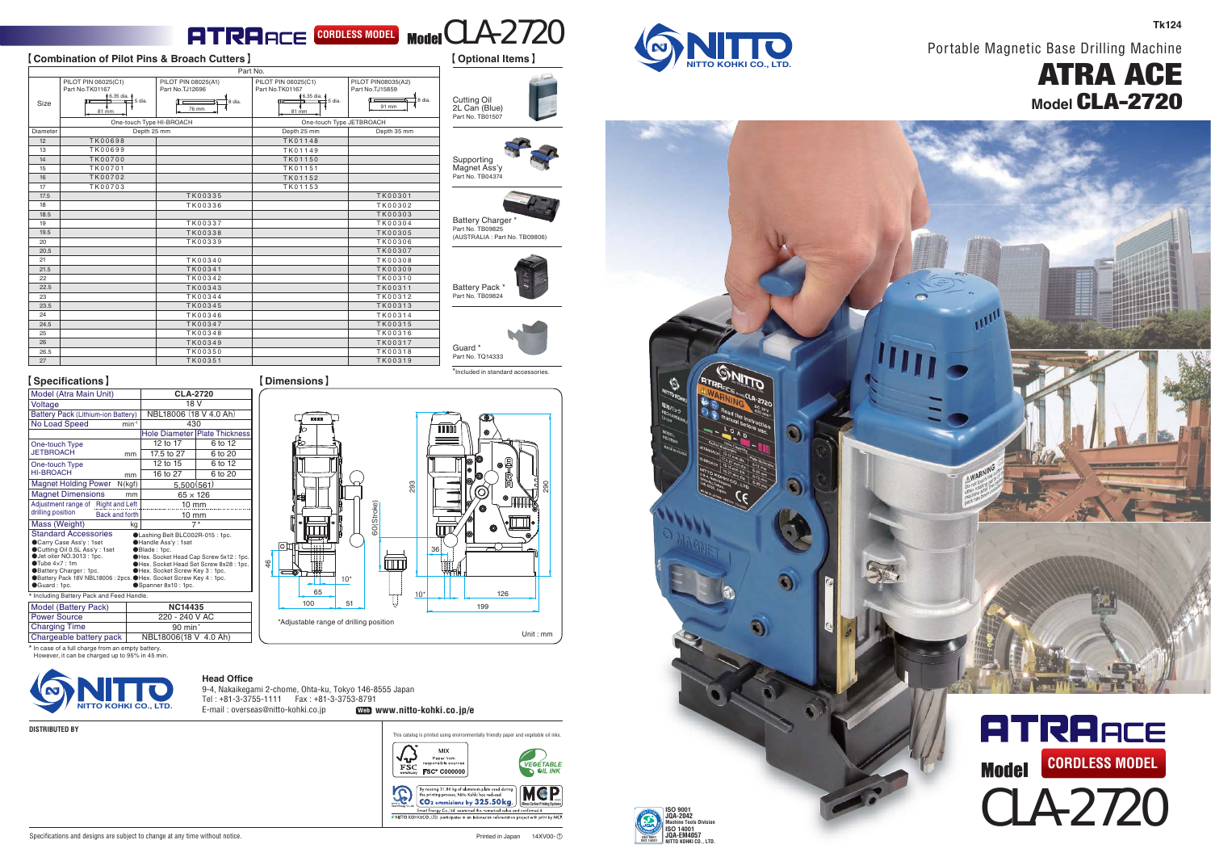### **CORDLESS MODEL** Model CLA-2720

#### 【**Combination of Pilot Pins & Broach Cutters** 】 【 **Optional Items** 】

|          |                                        |                                        | Part No.                               |                                       |
|----------|----------------------------------------|----------------------------------------|----------------------------------------|---------------------------------------|
|          | PILOT PIN 06025(C1)<br>Part No.TK01167 | PILOT PIN 08025(A1)<br>Part No.TJ12696 | PILOT PIN 06025(C1)<br>Part No.TK01167 | PILOT PIN08035(A2)<br>Part No.TJ15859 |
| Size     | +6.35 dia. +<br>$\pm$ 5 dia.<br>81 mm  | 8 dia.<br>76 mm                        | 6.35 dia.<br>t 5 dia.<br>81 mm         | 8 dia.<br>91 mm                       |
|          | One-touch Type HI-BROACH               |                                        | One-touch Type JETBROACH               |                                       |
| Diameter | Depth 25 mm                            |                                        | Depth 25 mm                            | Depth 35 mm                           |
| 12       | <b>TK00698</b>                         |                                        | TK01148                                |                                       |
| 13       | TK00699                                |                                        | TK01149                                |                                       |
| 14       | <b>TK00700</b>                         |                                        | TK01150                                |                                       |
| 15       | TK00701                                |                                        | TK01151                                |                                       |
| 16       | <b>TK00702</b>                         |                                        | TK01152                                |                                       |
| 17       | <b>TK00703</b>                         |                                        | TK01153                                |                                       |
| 17.5     |                                        | TK00335                                |                                        | <b>TK00301</b>                        |
| 18       |                                        | TK00336                                |                                        | TK00302                               |
| 18.5     |                                        |                                        |                                        | TK00303                               |
| 19       |                                        | TK00337                                |                                        | TK00304                               |
| 19.5     |                                        | <b>TK00338</b>                         |                                        | <b>TK00305</b>                        |
| 20       |                                        | TK00339                                |                                        | <b>TK00306</b>                        |
| 20.5     |                                        |                                        |                                        | <b>TK00307</b>                        |
| 21       |                                        | TK00340                                |                                        | <b>TK00308</b>                        |
| 21.5     |                                        | TK00341                                |                                        | <b>TK00309</b>                        |
| 22       |                                        | TK00342                                |                                        | TK00310                               |
| 22.5     |                                        | TK00343                                |                                        | TK00311                               |
| 23       |                                        | TK00344                                |                                        | TK00312                               |
| 23.5     |                                        | TK00345                                |                                        | TK00313                               |
| 24       |                                        | TK00346                                |                                        | TK00314                               |
| 24.5     |                                        | TK00347                                |                                        | <b>TK00315</b>                        |
| 25       |                                        | TK00348                                |                                        | TK00316                               |
| 26       |                                        | TK00349                                |                                        | TK00317                               |
| 26.5     |                                        | TK00350                                |                                        | <b>TK00318</b>                        |
| 27       |                                        | <b>TK00351</b>                         |                                        | TK00319                               |

Supporting<br>Magnet Ass'y Part No. TB04374

Cutting Oil 2L Can (Blue) Part No. TB01507

Battery Charger \*<br><sub>Part No.</sub> TB09825 (AUSTRALIA : Part No. TB09806)

Battery Pack Part No. TB09824

Guard<sup>'</sup> Part No. TQ14333

36

Ш

10\*

293

\*Included in standard accessories.

126199

290

Unit : mm



Portable Magnetic Base Drilling Machine

# ATRA ACE **Model** CLA-2720

**Tk124**



|                 | PILOT PIN 06025(C1)<br>Part No.TK01167 | PILOT PIN 08025(A1)<br>Part No.TJ12696 | PILOT PIN 06025(C1)<br>Part No.TK01167 | PILOT PIN08035(A2)<br>Part No.TJ15859 |
|-----------------|----------------------------------------|----------------------------------------|----------------------------------------|---------------------------------------|
|                 | 6.35 dia.                              |                                        | 6.35 dia.                              |                                       |
| Size            | ±5 dia.<br>81 mm                       | 8 dia.<br>76 mm                        | $\pm$ 5 dia.<br>81 mm                  | 8 dia.<br>91 mm                       |
|                 | One-touch Type HI-BROACH               |                                        | One-touch Type JETBROACH               |                                       |
| <b>Diameter</b> | Depth 25 mm                            |                                        | Depth 25 mm                            | Depth 35 mm                           |
| 12              | <b>TK00698</b>                         |                                        | TK01148                                |                                       |
| 13              | TK00699                                |                                        | TK01149                                |                                       |
| 14              | <b>TK00700</b>                         |                                        | TK01150                                |                                       |
| 15              | TK00701                                |                                        | TK01151                                |                                       |
| 16              | <b>TK00702</b>                         |                                        | TK01152                                |                                       |
| 17              | <b>TK00703</b>                         |                                        | TK01153                                |                                       |
| 17.5            |                                        | TK00335                                |                                        | <b>TK00301</b>                        |
| 18              |                                        | TK00336                                |                                        | TK00302                               |
| 18.5            |                                        |                                        |                                        | <b>TK00303</b>                        |
| 19              |                                        | TK00337                                |                                        | TK00304                               |
| 19.5            |                                        | <b>TK00338</b>                         |                                        | <b>TK00305</b>                        |
| 20              |                                        | TK00339                                |                                        | <b>TK00306</b>                        |
| 20.5            |                                        |                                        |                                        | <b>TK00307</b>                        |
| 21              |                                        | TK00340                                |                                        | <b>TK00308</b>                        |
| 21.5            |                                        | TK00341                                |                                        | <b>TK00309</b>                        |
| 22              |                                        | TK00342                                |                                        | TK00310                               |
| 22.5            |                                        | TK00343                                |                                        | TK00311                               |
| 23              |                                        | TK00344                                |                                        | TK00312                               |
| 23.5            |                                        | TK00345                                |                                        | <b>TK00313</b>                        |
| 24              |                                        | TK00346                                |                                        | TK00314                               |
| 24.5            |                                        | TK00347                                |                                        | <b>TK00315</b>                        |
| 25              |                                        | TK00348                                |                                        | TK00316                               |
| 26              |                                        | TK00349                                |                                        | <b>TK00317</b>                        |
| 26.5            |                                        | <b>TK00350</b>                         |                                        | TK00318                               |
| 27              |                                        | TK00351                                |                                        | TK00319                               |

【**Specifications** 】 【**Dimensions**】

| <b>(Specifications)</b>                                                                                                                                                                                                                                                                                                                                                                                                                                            |                        |                       |                                      |  |  |  |  |
|--------------------------------------------------------------------------------------------------------------------------------------------------------------------------------------------------------------------------------------------------------------------------------------------------------------------------------------------------------------------------------------------------------------------------------------------------------------------|------------------------|-----------------------|--------------------------------------|--|--|--|--|
| Model (Atra Main Unit)                                                                                                                                                                                                                                                                                                                                                                                                                                             | CLA-2720               |                       |                                      |  |  |  |  |
| Voltage                                                                                                                                                                                                                                                                                                                                                                                                                                                            | 18 V                   |                       |                                      |  |  |  |  |
| Battery Pack (Lithium-ion Battery)                                                                                                                                                                                                                                                                                                                                                                                                                                 | NBL18006 (18 V 4.0 Ah) |                       |                                      |  |  |  |  |
| No Load Speed<br>$min^{-1}$                                                                                                                                                                                                                                                                                                                                                                                                                                        |                        | 430                   |                                      |  |  |  |  |
|                                                                                                                                                                                                                                                                                                                                                                                                                                                                    |                        |                       | <b>Hole Diameter Plate Thickness</b> |  |  |  |  |
| One-touch Type                                                                                                                                                                                                                                                                                                                                                                                                                                                     |                        | 12 to 17              | 6 to 12                              |  |  |  |  |
| <b>JETBROACH</b>                                                                                                                                                                                                                                                                                                                                                                                                                                                   | mm                     | 17.5 to 27            | 6 to 20                              |  |  |  |  |
| One-touch Type                                                                                                                                                                                                                                                                                                                                                                                                                                                     |                        | 12 to 15              | 6 to 12                              |  |  |  |  |
| <b>HI-BROACH</b>                                                                                                                                                                                                                                                                                                                                                                                                                                                   | mm                     | 16 to 27              | 6 to 20                              |  |  |  |  |
| <b>Magnet Holding Power</b>                                                                                                                                                                                                                                                                                                                                                                                                                                        | N(kqf)                 | 5,500(561)            |                                      |  |  |  |  |
| <b>Magnet Dimensions</b>                                                                                                                                                                                                                                                                                                                                                                                                                                           | mm                     |                       | $65 \times 126$                      |  |  |  |  |
| Adjustment range of Right and Left                                                                                                                                                                                                                                                                                                                                                                                                                                 |                        | $10 \text{ mm}$       |                                      |  |  |  |  |
| drilling position<br><b>Back and forth</b>                                                                                                                                                                                                                                                                                                                                                                                                                         |                        | $10 \text{ mm}$       |                                      |  |  |  |  |
| Mass (Weight)<br>kg<br>$7*$                                                                                                                                                                                                                                                                                                                                                                                                                                        |                        |                       |                                      |  |  |  |  |
| <b>Standard Accessories</b><br>CLashing Belt BLC002R-015 : 1pc.<br>Carry Case Ass'y: 1set<br>Handle Ass'y: 1set<br>Cutting Oil 0.5L Ass'y: 1set<br>Blade: 1pc.<br>Uet oiler NO.3013 : 1pc.<br>OHex. Socket Head Cap Screw 5x12: 1pc.<br>Tube 4x7:1m<br>Hex. Socket Head Set Screw 8x28 : 1pc.<br>Battery Charger: 1pc.<br>OHex. Socket Screw Key 3: 1pc.<br>Battery Pack 18V NBL18006 : 2pcs. Hex. Socket Screw Key 4 : 1pc.<br>Guard: 1pc.<br>Spanner 8x10 : 1pc. |                        |                       |                                      |  |  |  |  |
| Including Battery Pack and Feed Handle.                                                                                                                                                                                                                                                                                                                                                                                                                            |                        |                       |                                      |  |  |  |  |
| Model (Battery Pack)                                                                                                                                                                                                                                                                                                                                                                                                                                               | <b>NC14435</b>         |                       |                                      |  |  |  |  |
| Power Source                                                                                                                                                                                                                                                                                                                                                                                                                                                       |                        | 220 - 240 V AC        |                                      |  |  |  |  |
| <b>Charging Time</b>                                                                                                                                                                                                                                                                                                                                                                                                                                               |                        | $90$ min <sup>*</sup> |                                      |  |  |  |  |
| Chargeable battery pack                                                                                                                                                                                                                                                                                                                                                                                                                                            |                        | NBL18006(18 V 4.0 Ah) |                                      |  |  |  |  |

\* In case of a full charge from an empty battery. However, it can be charged up to 95% in 45 min.



**DISTRIBUTED BY**

**Head Office**

46

 9-4, Nakaikegami 2-chome, Ohta-ku, Tokyo 146-8555 Japan Tel : +81-3-3755-1111 Fax : +81-3-3753-8791 E-mail : overseas@nitto-kohki.co.jp **NITTO KOHKI CO., LTD. Web www.nitto-kohki.co.jp/e**

 $65$ 100

51

\*Adjustable range of drilling position

10\*

60(Stroke)

而

'n

This catalog is printed using environmentally friendly paper and vegetable oil inks.